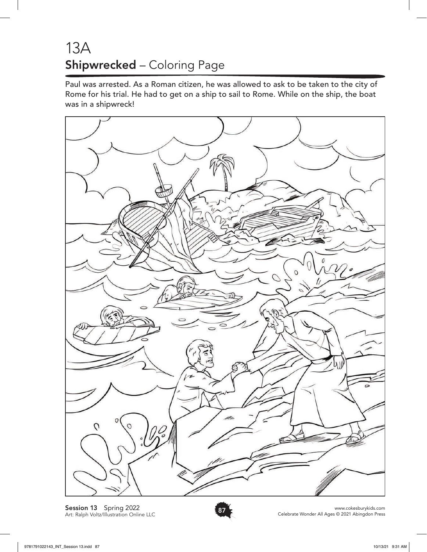## 13A Shipwrecked – Coloring Page

Paul was arrested. As a Roman citizen, he was allowed to ask to be taken to the city of Rome for his trial. He had to get on a ship to sail to Rome. While on the ship, the boat was in a shipwreck!



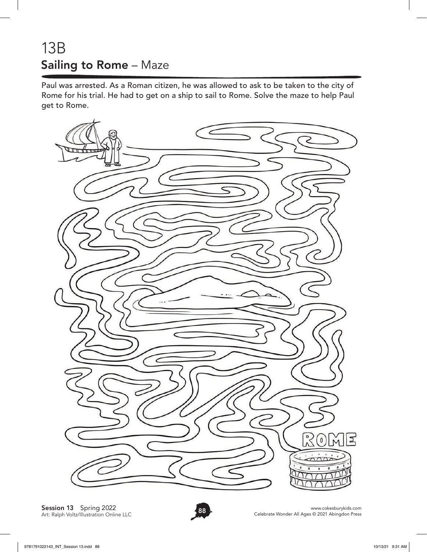## 13B Sailing to Rome – Maze

Paul was arrested. As a Roman citizen, he was allowed to ask to be taken to the city of Rome for his trial. He had to get on a ship to sail to Rome. Solve the maze to help Paul get to Rome.



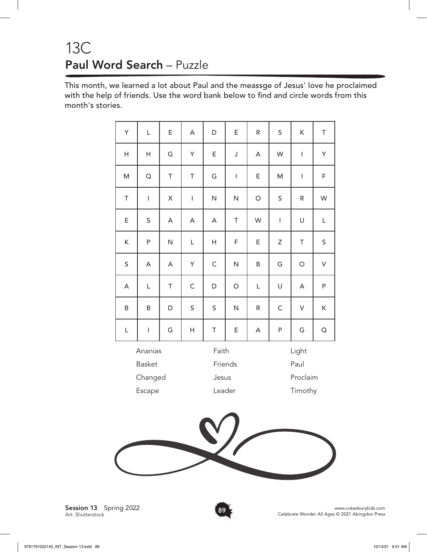# 13C Paul Word Search – Puzzle

This month, we learned a lot about Paul and the meassge of Jesus' love he proclaimed with the help of friends. Use the word bank below to find and circle words from this month's stories.

| Y             | L                                                                                                                                                                                                                                                                                                                                                                                | E | A                                     | D            | E              | R          | $\mathsf S$  | K                        | T              |
|---------------|----------------------------------------------------------------------------------------------------------------------------------------------------------------------------------------------------------------------------------------------------------------------------------------------------------------------------------------------------------------------------------|---|---------------------------------------|--------------|----------------|------------|--------------|--------------------------|----------------|
| H             | H                                                                                                                                                                                                                                                                                                                                                                                | G | Y                                     | E            | J              | A          | W            | I                        | Y              |
| M             | $\overline{O}$                                                                                                                                                                                                                                                                                                                                                                   | T | T                                     | G            | $\overline{1}$ | E          | M            | $\overline{\phantom{a}}$ | F              |
| T             | $\begin{array}{c} \rule{0pt}{2.5ex} \rule{0pt}{2.5ex} \rule{0pt}{2.5ex} \rule{0pt}{2.5ex} \rule{0pt}{2.5ex} \rule{0pt}{2.5ex} \rule{0pt}{2.5ex} \rule{0pt}{2.5ex} \rule{0pt}{2.5ex} \rule{0pt}{2.5ex} \rule{0pt}{2.5ex} \rule{0pt}{2.5ex} \rule{0pt}{2.5ex} \rule{0pt}{2.5ex} \rule{0pt}{2.5ex} \rule{0pt}{2.5ex} \rule{0pt}{2.5ex} \rule{0pt}{2.5ex} \rule{0pt}{2.5ex} \rule{0$ | X | $\begin{array}{c} \hline \end{array}$ | N            | N              | $\bigcirc$ | $\sf S$      | ${\sf R}$                | W              |
| E             | $\mathsf S$                                                                                                                                                                                                                                                                                                                                                                      | A | A                                     | A            | T              | W          | $\mathsf I$  | U                        | L              |
| K             | P                                                                                                                                                                                                                                                                                                                                                                                | N | L                                     | Η            | F              | E          | Ζ            | T                        | $\sf S$        |
| $\mathsf S$   | A                                                                                                                                                                                                                                                                                                                                                                                | A | Y                                     | $\mathsf{C}$ | N              | B          | G            | $\bigcirc$               | $\overline{V}$ |
| A             | Г                                                                                                                                                                                                                                                                                                                                                                                | T | $\mathsf C$                           | D            | $\bigcirc$     | Г          | U            | A                        | P              |
| B             | B                                                                                                                                                                                                                                                                                                                                                                                | D | $\sf S$                               | $\sf S$      | N              | ${\sf R}$  | $\mathsf{C}$ | $\vee$                   | K              |
| L             | $\overline{1}$                                                                                                                                                                                                                                                                                                                                                                   | G | H                                     | $\top$       | E              | A          | ${\sf P}$    | G                        | $\Omega$       |
| Ananias       |                                                                                                                                                                                                                                                                                                                                                                                  |   |                                       | Faith        |                |            | Light        |                          |                |
| <b>Basket</b> |                                                                                                                                                                                                                                                                                                                                                                                  |   | Friends                               |              |                | Paul       |              |                          |                |
| Changed       |                                                                                                                                                                                                                                                                                                                                                                                  |   | Jesus                                 |              |                | Proclaim   |              |                          |                |
| Escape        |                                                                                                                                                                                                                                                                                                                                                                                  |   |                                       | Leader       |                |            | Timothy      |                          |                |
|               |                                                                                                                                                                                                                                                                                                                                                                                  |   |                                       |              |                |            |              |                          |                |
|               |                                                                                                                                                                                                                                                                                                                                                                                  |   |                                       |              |                |            |              |                          |                |



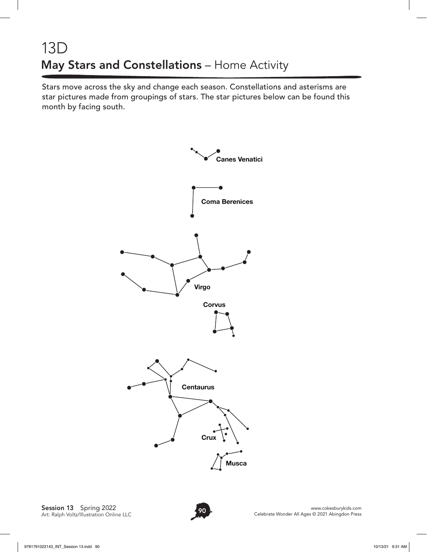# 13D May Stars and Constellations – Home Activity

Stars move across the sky and change each season. Constellations and asterisms are star pictures made from groupings of stars. The star pictures below can be found this month by facing south.



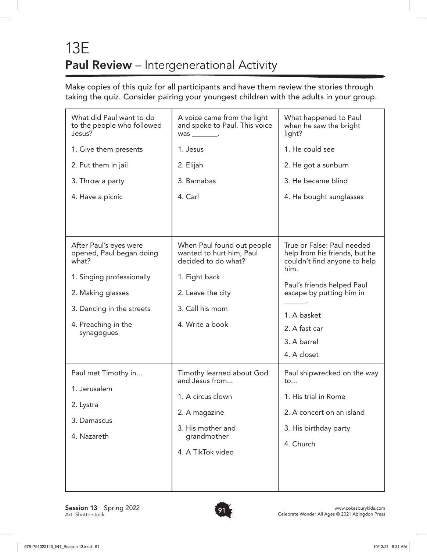# 13E Paul Review – Intergenerational Activity

Make copies of this quiz for all participants and have them review the stories through taking the quiz. Consider pairing your youngest children with the adults in your group.

| What did Paul want to do<br>to the people who followed<br>Jesus?                                                                           | A voice came from the light<br>and spoke to Paul. This voice<br>$was$ __________.                                                      | What happened to Paul<br>when he saw the bright<br>light?                                                                                                                                     |  |  |  |
|--------------------------------------------------------------------------------------------------------------------------------------------|----------------------------------------------------------------------------------------------------------------------------------------|-----------------------------------------------------------------------------------------------------------------------------------------------------------------------------------------------|--|--|--|
| 1. Give them presents                                                                                                                      | 1. Jesus                                                                                                                               | 1. He could see                                                                                                                                                                               |  |  |  |
| 2. Put them in jail                                                                                                                        | 2. Elijah                                                                                                                              | 2. He got a sunburn                                                                                                                                                                           |  |  |  |
| 3. Throw a party                                                                                                                           | 3. Barnabas                                                                                                                            | 3. He became blind                                                                                                                                                                            |  |  |  |
| 4. Have a picnic                                                                                                                           | 4. Carl                                                                                                                                | 4. He bought sunglasses                                                                                                                                                                       |  |  |  |
|                                                                                                                                            |                                                                                                                                        |                                                                                                                                                                                               |  |  |  |
| After Paul's eyes were<br>opened, Paul began doing<br>what?<br>1. Singing professionally<br>2. Making glasses<br>3. Dancing in the streets | When Paul found out people<br>wanted to hurt him, Paul<br>decided to do what?<br>1. Fight back<br>2. Leave the city<br>3. Call his mom | True or False: Paul needed<br>help from his friends, but he<br>couldn't find anyone to help<br>him.<br>Paul's friends helped Paul<br>escape by putting him in<br>1. A basket<br>2. A fast car |  |  |  |
| 4. Preaching in the<br>synagogues                                                                                                          | 4. Write a book                                                                                                                        |                                                                                                                                                                                               |  |  |  |
|                                                                                                                                            |                                                                                                                                        | 3. A barrel                                                                                                                                                                                   |  |  |  |
|                                                                                                                                            |                                                                                                                                        | 4. A closet                                                                                                                                                                                   |  |  |  |
| Paul met Timothy in<br>1. Jerusalem                                                                                                        | Timothy learned about God<br>and Jesus from                                                                                            | Paul shipwrecked on the way<br>to                                                                                                                                                             |  |  |  |
| 2. Lystra                                                                                                                                  | 1. A circus clown                                                                                                                      | 1. His trial in Rome                                                                                                                                                                          |  |  |  |
| 3. Damascus                                                                                                                                | 2. A magazine                                                                                                                          | 2. A concert on an island<br>3. His birthday party<br>4. Church                                                                                                                               |  |  |  |
| 4. Nazareth                                                                                                                                | 3. His mother and<br>grandmother                                                                                                       |                                                                                                                                                                                               |  |  |  |
|                                                                                                                                            | 4. A TikTok video                                                                                                                      |                                                                                                                                                                                               |  |  |  |
|                                                                                                                                            |                                                                                                                                        |                                                                                                                                                                                               |  |  |  |

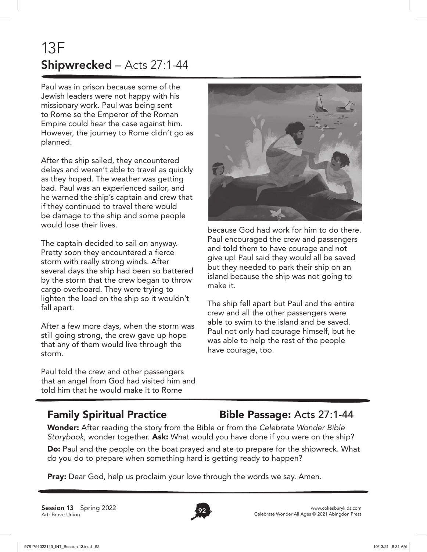# 13F Shipwrecked – Acts 27:1-44

Paul was in prison because some of the Jewish leaders were not happy with his missionary work. Paul was being sent to Rome so the Emperor of the Roman Empire could hear the case against him. However, the journey to Rome didn't go as planned.

After the ship sailed, they encountered delays and weren't able to travel as quickly as they hoped. The weather was getting bad. Paul was an experienced sailor, and he warned the ship's captain and crew that if they continued to travel there would be damage to the ship and some people would lose their lives.

The captain decided to sail on anyway. Pretty soon they encountered a fierce storm with really strong winds. After several days the ship had been so battered by the storm that the crew began to throw cargo overboard. They were trying to lighten the load on the ship so it wouldn't fall apart.

After a few more days, when the storm was still going strong, the crew gave up hope that any of them would live through the storm.

Paul told the crew and other passengers that an angel from God had visited him and told him that he would make it to Rome



because God had work for him to do there. Paul encouraged the crew and passengers and told them to have courage and not give up! Paul said they would all be saved but they needed to park their ship on an island because the ship was not going to make it.

The ship fell apart but Paul and the entire crew and all the other passengers were able to swim to the island and be saved. Paul not only had courage himself, but he was able to help the rest of the people have courage, too.

#### Family Spiritual Practice Bible Passage: Acts 27:1-44

Wonder: After reading the story from the Bible or from the *Celebrate Wonder Bible Storybook*, wonder together. Ask: What would you have done if you were on the ship?

Do: Paul and the people on the boat prayed and ate to prepare for the shipwreck. What do you do to prepare when something hard is getting ready to happen?

**Pray:** Dear God, help us proclaim your love through the words we say. Amen.